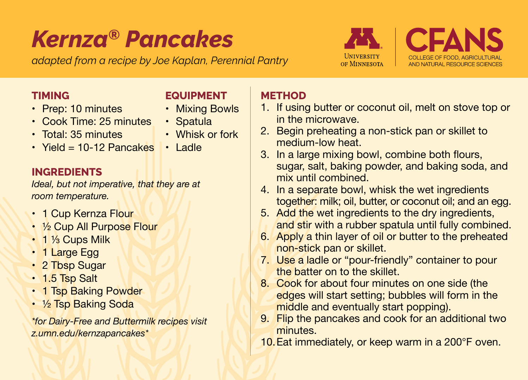# *Kernza® Pancakes*

*adapted from a recipe by Joe Kaplan, Perennial Pantry*

**EQUIPMENT** • Mixing Bowls • Spatula • Whisk or fork



#### **TIMING**

- Prep: 10 minutes
- Cook Time: 25 minutes
- Total: 35 minutes
- Yield = 10-12 Pancakes Ladle

## **INGREDIENTS**

*Ideal, but not imperative, that they are at room temperature.*

- 1 Cup Kernza Flour
- 1/2 Cup All Purpose Flour
- 1 ⅓ Cups Milk
- 1 Large Egg
- 2 Tbsp Sugar
- 1.5 Tsp Salt
- 1 Tsp Baking Powder
- 1/2 Tsp Baking Soda

*\*for Dairy-Free and Buttermilk recipes visit z.umn.edu/kernzapancakes\**

### **METHOD**

- 1. If using butter or coconut oil, melt on stove top or in the microwave.
- 2. Begin preheating a non-stick pan or skillet to medium-low heat.
- 3. In a large mixing bowl, combine both flours, sugar, salt, baking powder, and baking soda, and mix until combined.
- 4. In a separate bowl, whisk the wet ingredients together: milk; oil, butter, or coconut oil; and an egg.
- 5. Add the wet ingredients to the dry ingredients, and stir with a rubber spatula until fully combined.
- 6. Apply a thin layer of oil or butter to the preheated non-stick pan or skillet.
- 7. Use a ladle or "pour-friendly" container to pour the batter on to the skillet.
- 8. Cook for about four minutes on one side (the edges will start setting; bubbles will form in the middle and eventually start popping).
- 9. Flip the pancakes and cook for an additional two minutes.
- 10.Eat immediately, or keep warm in a 200°F oven.